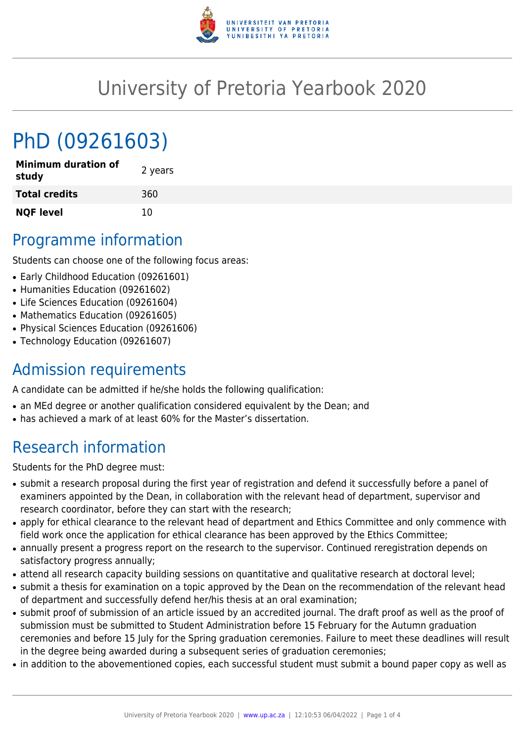

## University of Pretoria Yearbook 2020

# PhD (09261603)

| <b>Minimum duration of</b><br>study | 2 years |
|-------------------------------------|---------|
| <b>Total credits</b>                | 360     |
| <b>NQF level</b>                    | 10      |

### Programme information

Students can choose one of the following focus areas:

- Early Childhood Education (09261601)
- Humanities Education (09261602)
- Life Sciences Education (09261604)
- Mathematics Education (09261605)
- Physical Sciences Education (09261606)
- Technology Education (09261607)

#### Admission requirements

A candidate can be admitted if he/she holds the following qualification:

- an MEd degree or another qualification considered equivalent by the Dean; and
- has achieved a mark of at least 60% for the Master's dissertation.

### Research information

Students for the PhD degree must:

- submit a research proposal during the first year of registration and defend it successfully before a panel of examiners appointed by the Dean, in collaboration with the relevant head of department, supervisor and research coordinator, before they can start with the research;
- apply for ethical clearance to the relevant head of department and Ethics Committee and only commence with field work once the application for ethical clearance has been approved by the Ethics Committee;
- annually present a progress report on the research to the supervisor. Continued reregistration depends on satisfactory progress annually;
- attend all research capacity building sessions on quantitative and qualitative research at doctoral level;
- submit a thesis for examination on a topic approved by the Dean on the recommendation of the relevant head of department and successfully defend her/his thesis at an oral examination;
- submit proof of submission of an article issued by an accredited journal. The draft proof as well as the proof of submission must be submitted to Student Administration before 15 February for the Autumn graduation ceremonies and before 15 July for the Spring graduation ceremonies. Failure to meet these deadlines will result in the degree being awarded during a subsequent series of graduation ceremonies;
- in addition to the abovementioned copies, each successful student must submit a bound paper copy as well as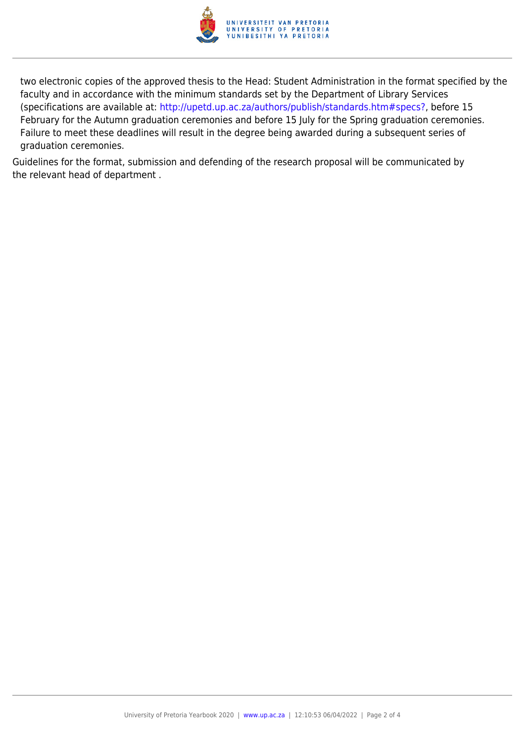

two electronic copies of the approved thesis to the Head: Student Administration in the format specified by the faculty and in accordance with the minimum standards set by the Department of Library Services (specifications are available at: [http://upetd.up.ac.za/authors/publish/standards.htm#specs?,](http://upetd.up.ac.za/authors/publish/standards.htm#specs) before 15 February for the Autumn graduation ceremonies and before 15 July for the Spring graduation ceremonies. Failure to meet these deadlines will result in the degree being awarded during a subsequent series of graduation ceremonies.

Guidelines for the format, submission and defending of the research proposal will be communicated by the relevant head of department .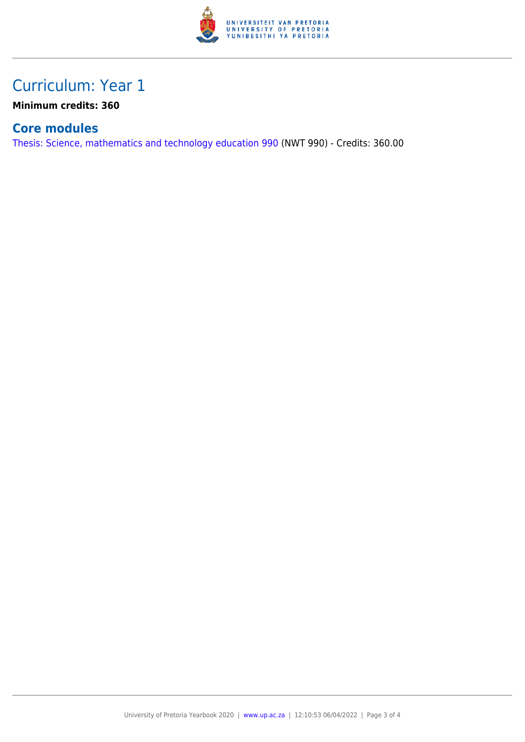

#### Curriculum: Year 1

**Minimum credits: 360**

#### **Core modules**

[Thesis: Science, mathematics and technology education 990](https://www.up.ac.za/yearbooks/2020/modules/view/NWT 990) (NWT 990) - Credits: 360.00